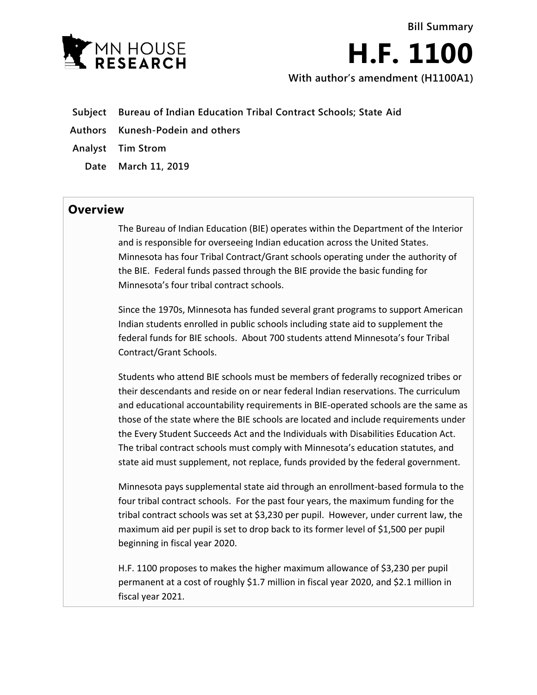

**H.F. 1100 With author's amendment (H1100A1)**

**Bill Summary**

- **Subject Bureau of Indian Education Tribal Contract Schools; State Aid**
- **Authors Kunesh-Podein and others**
- **Analyst Tim Strom**
	- **Date March 11, 2019**

## **Overview**

The Bureau of Indian Education (BIE) operates within the Department of the Interior and is responsible for overseeing Indian education across the United States. Minnesota has four Tribal Contract/Grant schools operating under the authority of the BIE. Federal funds passed through the BIE provide the basic funding for Minnesota's four tribal contract schools.

Since the 1970s, Minnesota has funded several grant programs to support American Indian students enrolled in public schools including state aid to supplement the federal funds for BIE schools. About 700 students attend Minnesota's four Tribal Contract/Grant Schools.

Students who attend BIE schools must be members of federally recognized tribes or their descendants and reside on or near federal Indian reservations. The curriculum and educational accountability requirements in BIE-operated schools are the same as those of the state where the BIE schools are located and include requirements under the Every Student Succeeds Act and the Individuals with Disabilities Education Act. The tribal contract schools must comply with Minnesota's education statutes, and state aid must supplement, not replace, funds provided by the federal government.

Minnesota pays supplemental state aid through an enrollment-based formula to the four tribal contract schools. For the past four years, the maximum funding for the tribal contract schools was set at \$3,230 per pupil. However, under current law, the maximum aid per pupil is set to drop back to its former level of \$1,500 per pupil beginning in fiscal year 2020.

H.F. 1100 proposes to makes the higher maximum allowance of \$3,230 per pupil permanent at a cost of roughly \$1.7 million in fiscal year 2020, and \$2.1 million in fiscal year 2021.